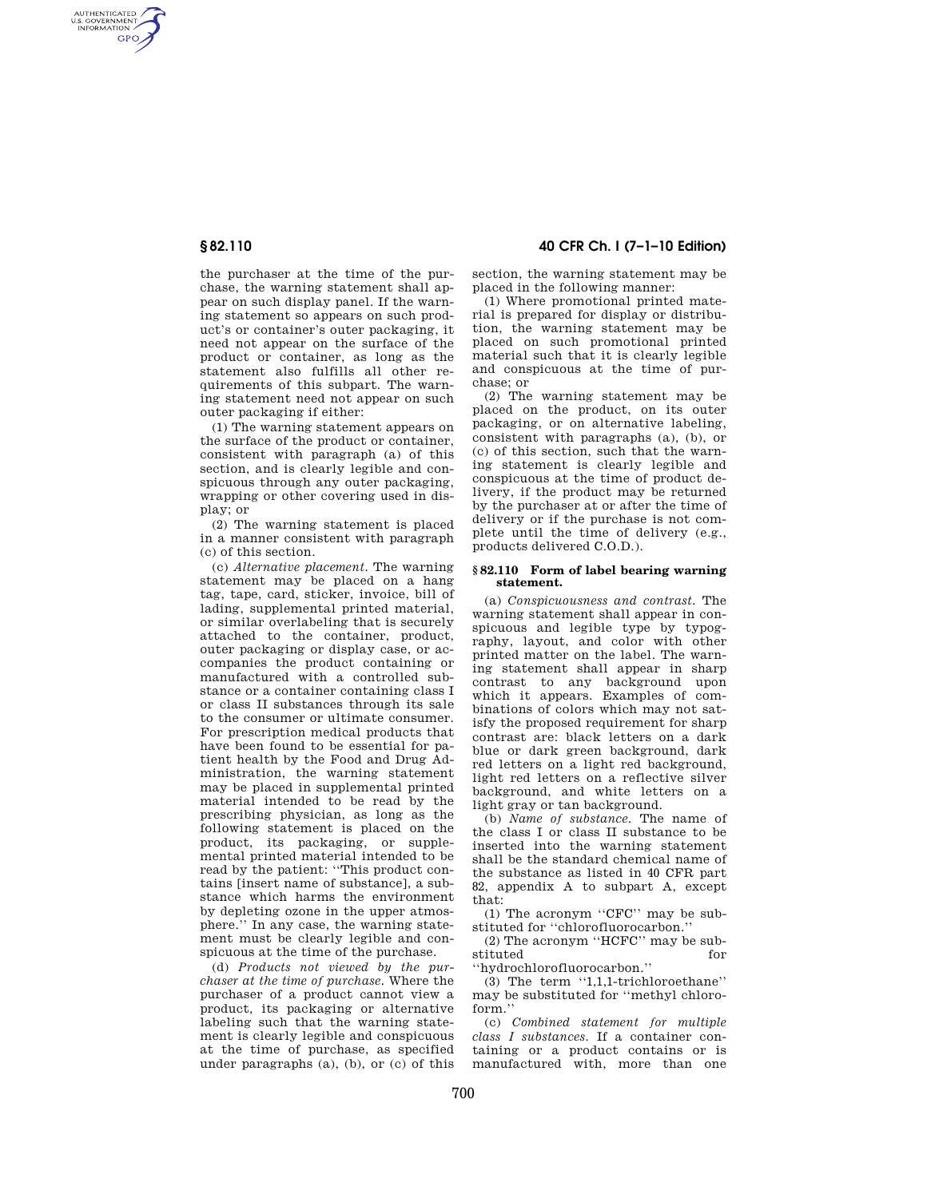AUTHENTICATED<br>U.S. GOVERNMENT<br>INFORMATION **GPO** 

> the purchaser at the time of the purchase, the warning statement shall appear on such display panel. If the warning statement so appears on such product's or container's outer packaging, it need not appear on the surface of the product or container, as long as the statement also fulfills all other requirements of this subpart. The warning statement need not appear on such outer packaging if either:

> (1) The warning statement appears on the surface of the product or container, consistent with paragraph (a) of this section, and is clearly legible and conspicuous through any outer packaging, wrapping or other covering used in display; or

> (2) The warning statement is placed in a manner consistent with paragraph (c) of this section.

> (c) *Alternative placement.* The warning statement may be placed on a hang tag, tape, card, sticker, invoice, bill of lading, supplemental printed material, or similar overlabeling that is securely attached to the container, product, outer packaging or display case, or accompanies the product containing or manufactured with a controlled substance or a container containing class I or class II substances through its sale to the consumer or ultimate consumer. For prescription medical products that have been found to be essential for patient health by the Food and Drug Administration, the warning statement may be placed in supplemental printed material intended to be read by the prescribing physician, as long as the following statement is placed on the product, its packaging, or supplemental printed material intended to be read by the patient: ''This product contains [insert name of substance], a substance which harms the environment by depleting ozone in the upper atmosphere.'' In any case, the warning statement must be clearly legible and conspicuous at the time of the purchase.

> (d) *Products not viewed by the purchaser at the time of purchase.* Where the purchaser of a product cannot view a product, its packaging or alternative labeling such that the warning statement is clearly legible and conspicuous at the time of purchase, as specified under paragraphs (a), (b), or (c) of this

**§ 82.110 40 CFR Ch. I (7–1–10 Edition)** 

section, the warning statement may be placed in the following manner:

(1) Where promotional printed material is prepared for display or distribution, the warning statement may be placed on such promotional printed material such that it is clearly legible and conspicuous at the time of purchase; or

(2) The warning statement may be placed on the product, on its outer packaging, or on alternative labeling, consistent with paragraphs (a), (b), or (c) of this section, such that the warning statement is clearly legible and conspicuous at the time of product delivery, if the product may be returned by the purchaser at or after the time of delivery or if the purchase is not complete until the time of delivery (e.g., products delivered C.O.D.).

## **§ 82.110 Form of label bearing warning statement.**

(a) *Conspicuousness and contrast.* The warning statement shall appear in conspicuous and legible type by typography, layout, and color with other printed matter on the label. The warning statement shall appear in sharp contrast to any background upon which it appears. Examples of combinations of colors which may not satisfy the proposed requirement for sharp contrast are: black letters on a dark blue or dark green background, dark red letters on a light red background, light red letters on a reflective silver background, and white letters on a light gray or tan background.

(b) *Name of substance.* The name of the class I or class II substance to be inserted into the warning statement shall be the standard chemical name of the substance as listed in 40 CFR part 82, appendix A to subpart A, except that:

(1) The acronym ''CFC'' may be substituted for ''chlorofluorocarbon.''

(2) The acronym ''HCFC'' may be substituted

''hydrochlorofluorocarbon.'' (3) The term ''1,1,1-trichloroethane'' may be substituted for ''methyl chloroform.''

(c) *Combined statement for multiple class I substances.* If a container containing or a product contains or is manufactured with, more than one